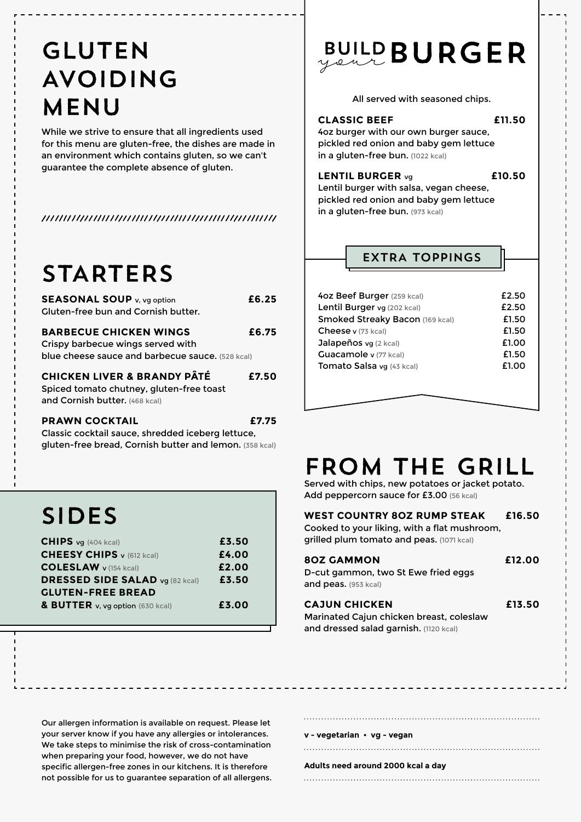### GLUTEN AVOIDING MENU

While we strive to ensure that all ingredients used for this menu are gluten-free, the dishes are made in an environment which contains gluten, so we can't guarantee the complete absence of gluten.

### STARTERS

| <b>SEASONAL SOUP</b> v, vg option<br>Gluten-free bun and Cornish butter.                                               | £6.25 |
|------------------------------------------------------------------------------------------------------------------------|-------|
| <b>BARBECUE CHICKEN WINGS</b><br>Crispy barbecue wings served with<br>blue cheese sauce and barbecue sauce. (528 kcal) | £6.75 |
| <b>CHICKEN LIVER &amp; BRANDY PÂTÉ</b><br>Spiced tomato chutney, gluten-free toast<br>and Cornish butter. (468 kcal)   | £7.50 |
| 66.11/11 <i>66.</i> 17 <b>7</b>                                                                                        |       |

**PRAWN COCKTAIL £7.75** Classic cocktail sauce, shredded iceberg lettuce, gluten-free bread, Cornish butter and lemon. (358 kcal)

# SIDES

| $CHIPS$ vg (404 kcal)                  | £3.50 |
|----------------------------------------|-------|
| <b>CHEESY CHIPS</b> v (612 kcal)       | £4.00 |
| <b>COLESLAW</b> v (154 kcal)           | £2.00 |
| <b>DRESSED SIDE SALAD vg (82 kcal)</b> | £3.50 |
| <b>GLUTEN-FREE BREAD</b>               |       |
| & BUTTER v, vg option (630 kcal)       | £3.00 |

# **BUILD BURGER**

All served with seasoned chips.

#### **CLASSIC BEEF £11.50**

4oz burger with our own burger sauce, pickled red onion and baby gem lettuce in a gluten-free bun. (1022 kcal)

#### **LENTIL BURGER** vg **£10.50**

Lentil burger with salsa, vegan cheese, pickled red onion and baby gem lettuce in a gluten-free bun. (973 kcal)

### EXTRA TOPPINGS

| 4oz Beef Burger (259 kcal)      | £2.50 |
|---------------------------------|-------|
| Lentil Burger vg (202 kcal)     | £2.50 |
| Smoked Streaky Bacon (169 kcal) | £1.50 |
| Cheese v (73 kcal)              | £1.50 |
| Jalapeños vg (2 kcal)           | £1.00 |
| Guacamole v (77 kcal)           | £1.50 |
| Tomato Salsa vg (43 kcal)       | £1.00 |
|                                 |       |

### FROM THE GRILL

Served with chips, new potatoes or jacket potato. Add peppercorn sauce for £3.00 (56 kcal)

| <b>WEST COUNTRY 80Z RUMP STEAK</b>               | £16.50 |
|--------------------------------------------------|--------|
| Cooked to your liking, with a flat mushroom,     |        |
| <b>grilled plum tomato and peas.</b> (1071 kcal) |        |
|                                                  |        |
| <b>80Z GAMMON</b>                                | £12.00 |
| D-cut gammon, two St Ewe fried eggs              |        |
|                                                  |        |

| <b>CAJUN CHICKEN</b>                          | £13.50 |
|-----------------------------------------------|--------|
| Marinated Cajun chicken breast, coleslaw      |        |
| <b>and dressed salad garnish.</b> (1120 kcal) |        |

Our allergen information is available on request. Please let your server know if you have any allergies or intolerances. We take steps to minimise the risk of cross-contamination when preparing your food, however, we do not have specific allergen-free zones in our kitchens. It is therefore not possible for us to guarantee separation of all allergens.

#### **v - vegetarian • vg - vegan**

#### **Adults need around 2000 kcal a day**